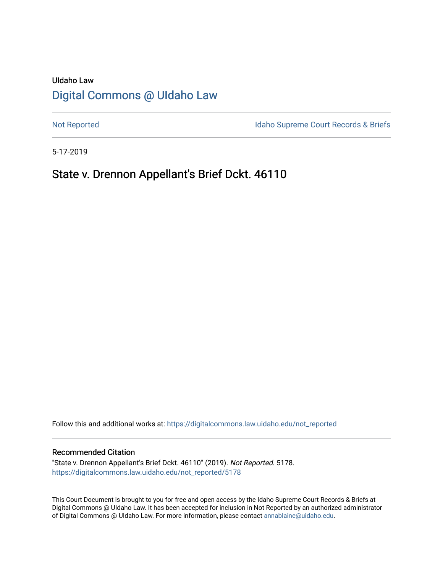# UIdaho Law [Digital Commons @ UIdaho Law](https://digitalcommons.law.uidaho.edu/)

[Not Reported](https://digitalcommons.law.uidaho.edu/not_reported) **Idaho Supreme Court Records & Briefs** 

5-17-2019

# State v. Drennon Appellant's Brief Dckt. 46110

Follow this and additional works at: [https://digitalcommons.law.uidaho.edu/not\\_reported](https://digitalcommons.law.uidaho.edu/not_reported?utm_source=digitalcommons.law.uidaho.edu%2Fnot_reported%2F5178&utm_medium=PDF&utm_campaign=PDFCoverPages) 

#### Recommended Citation

"State v. Drennon Appellant's Brief Dckt. 46110" (2019). Not Reported. 5178. [https://digitalcommons.law.uidaho.edu/not\\_reported/5178](https://digitalcommons.law.uidaho.edu/not_reported/5178?utm_source=digitalcommons.law.uidaho.edu%2Fnot_reported%2F5178&utm_medium=PDF&utm_campaign=PDFCoverPages)

This Court Document is brought to you for free and open access by the Idaho Supreme Court Records & Briefs at Digital Commons @ UIdaho Law. It has been accepted for inclusion in Not Reported by an authorized administrator of Digital Commons @ UIdaho Law. For more information, please contact [annablaine@uidaho.edu](mailto:annablaine@uidaho.edu).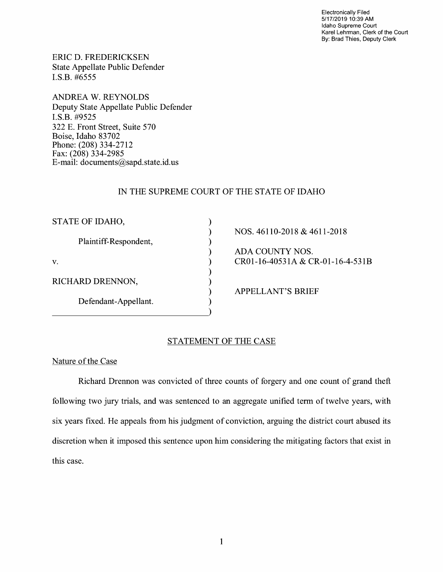Electronically Filed 5/17/2019 10:39 AM Idaho Supreme Court Karel Lehrman, Clerk of the Court By: Brad Thies, Deputy Clerk

ERIC D. FREDERICKSEN State Appellate Public Defender I.S.B. #6555

**ANDREA W. REYNOLDS**  Deputy State Appellate Public Defender **I.S.B.** #9525 322 E. Front Street, Suite 570 Boise, Idaho 83702 Phone: (208) 334-2712 Fax: (208) 334-2985 E-mail: documents@sapd.state.id. us

## IN THE SUPREME COURT OF THE STATE OF IDAHO

) ) ) ) ) ) ) ) )

| STATE OF IDAHO,       |
|-----------------------|
| Plaintiff-Respondent, |
| $\mathbf{V}$ .        |
| RICHARD DRENNON,      |
| Defendant-Appellant.  |

## NOS. 46110-2018 & 4611-2018

ADA COUNTY NOS. CR01-16-40531A & CR-01-16-4-531B

APPELLANT'S BRIEF

## STATEMENT OF THE CASE

### Nature of the Case

Richard Drennon was convicted of three counts of forgery and one count of grand theft following two jury trials, and was sentenced to an aggregate unified term of twelve years, with six years fixed. He appeals from his judgment of conviction, arguing the district court abused its discretion when it imposed this sentence upon him considering the mitigating factors that exist in this case.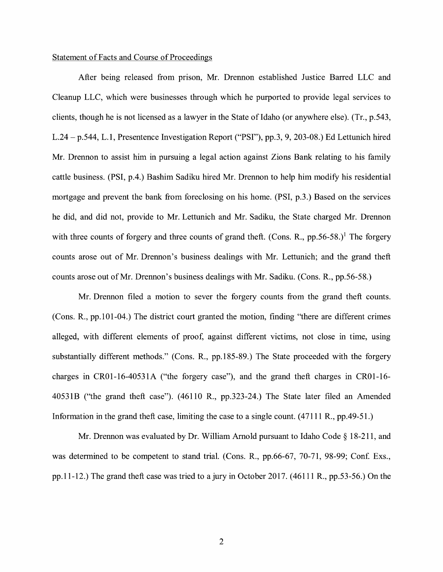## Statement of Facts and Course of Proceedings

After being released from prison, Mr. Drennon established Justice Barred LLC and Cleanup LLC, which were businesses through which he purported to provide legal services to clients, though he is not licensed as a lawyer in the State of Idaho (or anywhere else). (Tr., p.543, L.24 - p.544, L. 1, Presentence Investigation Report ("PSI"), pp.3, 9, 203-08.) Ed Lettunich hired Mr. Drennon to assist him in pursuing a legal action against Zions Bank relating to his family cattle business. (PSI, p.4.) Bashim Sadiku hired Mr. Drennon to help him modify his residential mortgage and prevent the bank from foreclosing on his home. (PSI, p.3.) Based on the services he did, and did not, provide to Mr. Lettunich and Mr. Sadiku, the State charged Mr. Drennon with three counts of forgery and three counts of grand theft. (Cons. R.,  $pp.56-58$ .)<sup>1</sup> The forgery counts arose out of Mr. Drennon's business dealings with Mr. Lettunich; and the grand theft counts arose out of Mr. Drennon's business dealings with Mr. Sadiku. (Cons. R., pp.56-58.)

Mr. Drennon filed a motion to sever the forgery counts from the grand theft counts. (Cons. R., pp.101-04.) The district court granted the motion, finding "there are different crimes alleged, with different elements of proof, against different victims, not close in time, using substantially different methods." (Cons. R., pp.185-89.) The State proceeded with the forgery charges in CR0l-16-4053 lA ("the forgery case"), and the grand theft charges in CR0l-16- 4053 lB ("the grand theft case"). (46110 R., pp.323-24.) The State later filed an Amended Information in the grand theft case, limiting the case to a single count. (47111 R., pp.49-51.)

Mr. Drennon was evaluated by Dr. William Arnold pursuant to Idaho Code  $\S 18-211$ , and was determined to be competent to stand trial. (Cons. R., pp.66-67, 70-71, 98-99; Conf. Exs., pp.11-12.) The grand theft case was tried to a jury in October 2017. (46111 R., pp.53-56.) On the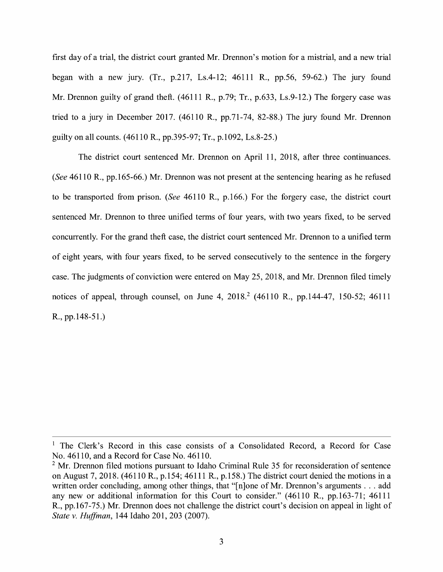first day of a trial, the district court granted Mr. Drennon's motion for a mistrial, and a new trial began with a new jury. (Tr., p.217, Ls.4-12; 46111 R., pp.56, 59-62.) The jury found Mr. Drennon guilty of grand theft. (46111 R., p.79; Tr., p.633, Ls.9-12.) The forgery case was tried to a jury in December 2017. (46110 R., pp.71-74, 82-88.) The jury found Mr. Drennon guilty on all counts. (46110 R., pp.395-97; Tr., p.1092, Ls.8-25.)

The district court sentenced Mr. Drennon on April 11, 2018, after three continuances. *(See* 46110 R., pp.165-66.) Mr. Drennon was not present at the sentencing hearing as he refused to be transported from prison. *(See* 46110 R., p.166.) For the forgery case, the district court sentenced Mr. Drennon to three unified terms of four years, with two years fixed, to be served concurrently. For the grand theft case, the district court sentenced Mr. Drennon to a unified term of eight years, with four years fixed, to be served consecutively to the sentence in the forgery case. The judgments of conviction were entered on May 25, 2018, and Mr. Drennon filed timely notices of appeal, through counsel, on June 4,  $2018<sup>2</sup>$  (46110 R., pp.144-47, 150-52; 46111 R., pp.148-51.)

<sup>&</sup>lt;sup>1</sup> The Clerk's Record in this case consists of a Consolidated Record, a Record for Case No. 46110, and a Record for Case No. 46110.

 $2$  Mr. Drennon filed motions pursuant to Idaho Criminal Rule 35 for reconsideration of sentence on August 7, 2018. (46110 R., p.154; 46111 R., p.158.) The district court denied the motions in a written order concluding, among other things, that "[n]one of Mr. Drennon's arguments . . . add any new or additional information for this Court to consider." (46110 R., pp.163-71; 46111 R., pp.167-75.) Mr. Drennon does not challenge the district court's decision on appeal in light of *State v. Huffman,* 144 Idaho 201, 203 (2007).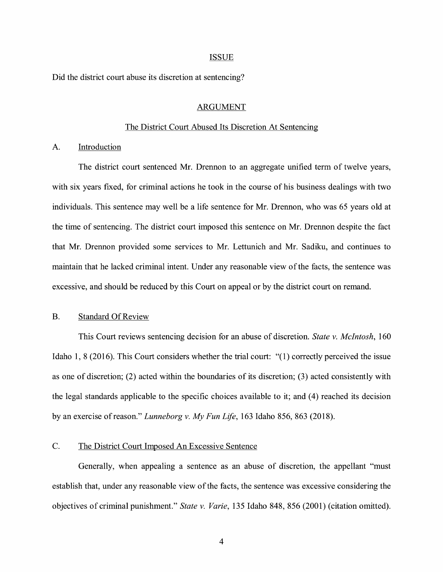#### ISSUE

Did the district court abuse its discretion at sentencing?

#### ARGUMENT

### The District Court Abused Its Discretion At Sentencing

A. Introduction

The district court sentenced Mr. Drennon to an aggregate unified term of twelve years, with six years fixed, for criminal actions he took in the course of his business dealings with two individuals. This sentence may well be a life sentence for Mr. Drennon, who was 65 years old at the time of sentencing. The district court imposed this sentence on Mr. Drennon despite the fact that Mr. Drennon provided some services to Mr. Lettunich and Mr. Sadiku, and continues to maintain that he lacked criminal intent. Under any reasonable view of the facts, the sentence was excessive, and should be reduced by this Court on appeal or by the district court on remand.

## B. Standard Of Review

This Court reviews sentencing decision for an abuse of discretion. *State v. McIntosh,* 160 Idaho 1, 8 (2016). This Court considers whether the trial court: "(1) correctly perceived the issue as one of discretion; (2) acted within the boundaries of its discretion; (3) acted consistently with the legal standards applicable to the specific choices available to it; and (4) reached its decision by an exercise ofreason." *Lunneborg v. My Fun Life,* 163 Idaho 856, 863 (2018).

## C. The District Court Imposed An Excessive Sentence

Generally, when appealing a sentence as an abuse of discretion, the appellant "must establish that, under any reasonable view of the facts, the sentence was excessive considering the objectives of criminal punishment." *State v. Varie,* 135 Idaho 848, 856 (2001) (citation omitted).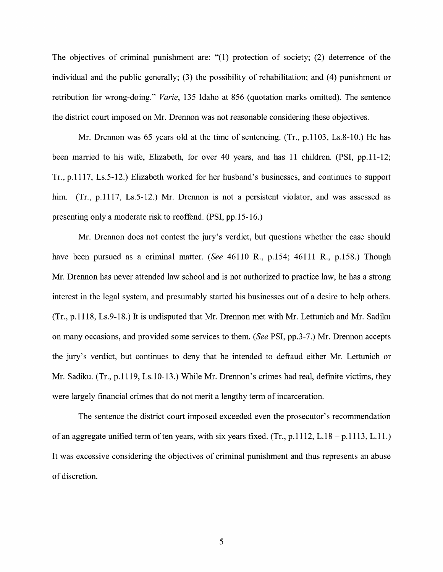The objectives of criminal punishment are: "(1) protection of society; (2) deterrence of the individual and the public generally; (3) the possibility of rehabilitation; and (4) punishment or retribution for wrong-doing." *Varie,* 135 Idaho at 856 (quotation marks omitted). The sentence the district court imposed on Mr. Drennon was not reasonable considering these objectives.

Mr. Drennon was 65 years old at the time of sentencing. (Tr., p.1103, Ls.8-10.) He has been married to his wife, Elizabeth, for over 40 years, and has 11 children. (PSI, pp.11-12; Tr., p.1117, Ls.5-12.) Elizabeth worked for her husband's businesses, and continues to support him. (Tr., p.1117, Ls.5-12.) Mr. Drennon is not a persistent violator, and was assessed as presenting only a moderate risk to reoffend. (PSI, pp.15-16.)

Mr. Drennon does not contest the jury's verdict, but questions whether the case should have been pursued as a criminal matter. *(See* 46110 R., p.154; 46111 R., p.158.) Though Mr. Drennon has never attended law school and is not authorized to practice law, he has a strong interest in the legal system, and presumably started his businesses out of a desire to help others. (Tr., p.1118, Ls.9-18.) It is undisputed that Mr. Drennon met with Mr. Lettunich and Mr. Sadiku on many occasions, and provided some services to them. *(See* PSI, pp.3-7.) Mr. Drennon accepts the jury's verdict, but continues to deny that he intended to defraud either Mr. Lettunich or Mr. Sadiku. (Tr., p.1119, Ls.10-13.) While Mr. Drennon's crimes had real, definite victims, they were largely financial crimes that do not merit a lengthy term of incarceration.

The sentence the district court imposed exceeded even the prosecutor's recommendation of an aggregate unified term of ten years, with six years fixed. (Tr.,  $p.1112$ , L.18 –  $p.1113$ , L.11.) It was excessive considering the objectives of criminal punishment and thus represents an abuse of discretion.